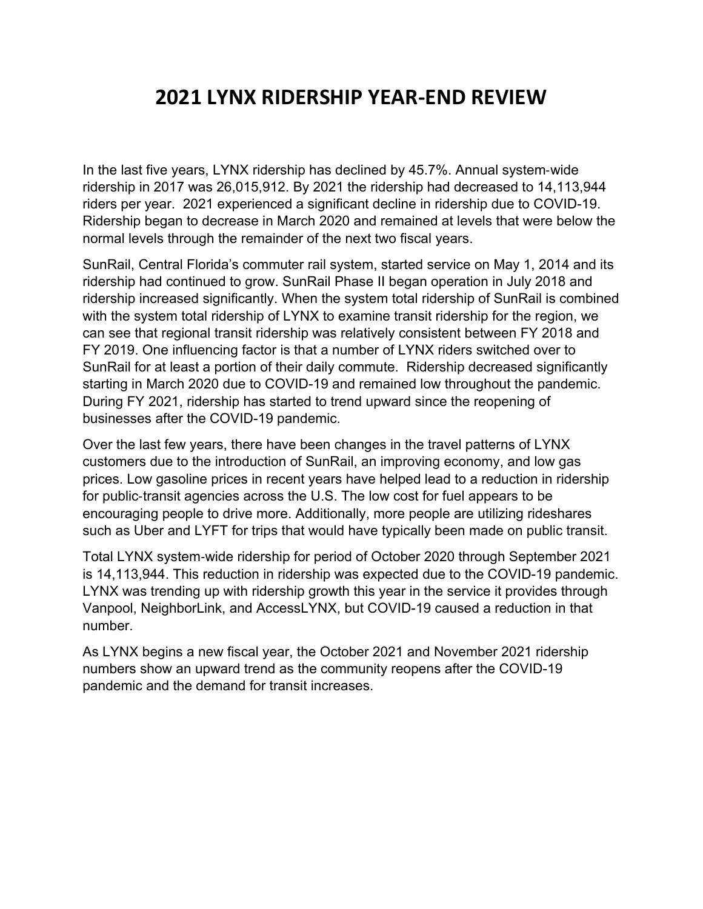## **2021 LYNX RIDERSHIP YEAR‐END REVIEW**

In the last five years, LYNX ridership has declined by 45.7%. Annual system-wide ridership in 2017 was 26,015,912. By 2021 the ridership had decreased to 14,113,944 riders per year. 2021 experienced a significant decline in ridership due to COVID-19. Ridership began to decrease in March 2020 and remained at levels that were below the normal levels through the remainder of the next two fiscal years.

SunRail, Central Florida's commuter rail system, started service on May 1, 2014 and its ridership had continued to grow. SunRail Phase II began operation in July 2018 and ridership increased significantly. When the system total ridership of SunRail is combined with the system total ridership of LYNX to examine transit ridership for the region, we can see that regional transit ridership was relatively consistent between FY 2018 and FY 2019. One influencing factor is that a number of LYNX riders switched over to SunRail for at least a portion of their daily commute. Ridership decreased significantly starting in March 2020 due to COVID-19 and remained low throughout the pandemic. During FY 2021, ridership has started to trend upward since the reopening of businesses after the COVID-19 pandemic.

Over the last few years, there have been changes in the travel patterns of LYNX customers due to the introduction of SunRail, an improving economy, and low gas prices. Low gasoline prices in recent years have helped lead to a reduction in ridership for public-transit agencies across the U.S. The low cost for fuel appears to be encouraging people to drive more. Additionally, more people are utilizing rideshares such as Uber and LYFT for trips that would have typically been made on public transit.

Total LYNX system-wide ridership for period of October 2020 through September 2021 is 14,113,944. This reduction in ridership was expected due to the COVID-19 pandemic. LYNX was trending up with ridership growth this year in the service it provides through Vanpool, NeighborLink, and AccessLYNX, but COVID-19 caused a reduction in that number.

As LYNX begins a new fiscal year, the October 2021 and November 2021 ridership numbers show an upward trend as the community reopens after the COVID-19 pandemic and the demand for transit increases.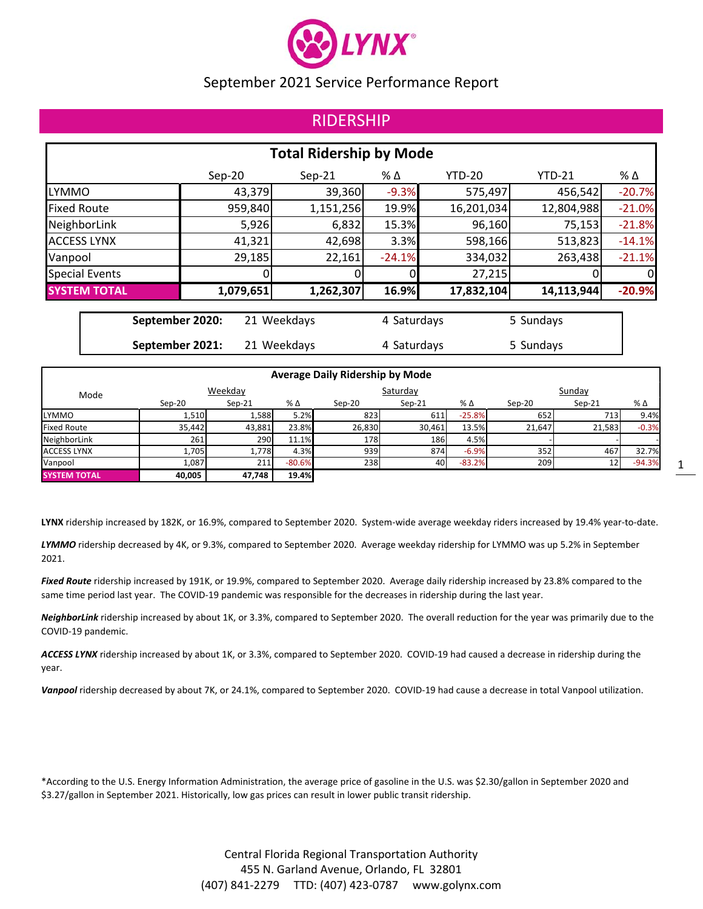

## RIDERSHIP

|                       |                                | <b>Total Ridership by Mode</b> |          |               |               |          |
|-----------------------|--------------------------------|--------------------------------|----------|---------------|---------------|----------|
|                       | $Sep-20$                       | $Sep-21$                       | % Δ      | <b>YTD-20</b> | <b>YTD-21</b> | % Δ      |
| <b>LYMMO</b>          | 43,379                         | 39,360                         | $-9.3%$  | 575,497       | 456,542       | $-20.7%$ |
| <b>Fixed Route</b>    | 959,840                        | 1,151,256                      | 19.9%    | 16,201,034    | 12,804,988    | $-21.0%$ |
| NeighborLink          | 5,926                          | 6,832                          | 15.3%    | 96,160        | 75,153        | $-21.8%$ |
| <b>ACCESS LYNX</b>    | 41,321                         | 42,698                         | 3.3%     | 598,166       | 513,823       | $-14.1%$ |
| Vanpool               | 29,185                         | 22,161                         | $-24.1%$ | 334,032       | 263,438       | $-21.1%$ |
| <b>Special Events</b> |                                |                                |          | 27,215        |               | 0        |
| <b>SYSTEM TOTAL</b>   | 1,079,651                      | 1,262,307                      | 16.9%    | 17,832,104    | 14,113,944    | $-20.9%$ |
|                       | September 2020:<br>21 Weekdays | 4 Saturdays                    |          | 5 Sundays     |               |          |

**September 2021:** 21 Weekdays **4 Saturdays** 5 Sundays

|                     |        |          |          | <b>Average Daily Ridership by Mode</b> |          |           |          |                 |              |
|---------------------|--------|----------|----------|----------------------------------------|----------|-----------|----------|-----------------|--------------|
| Mode                |        | Weekday  |          |                                        | Saturday |           |          | Sunday          |              |
|                     | Sep-20 | $Sep-21$ | % Δ      | Sep-20                                 | $Sep-21$ | % Δ       | $Sep-20$ | $Sep-21$        | $%$ $\Delta$ |
| <b>LYMMO</b>        | 1,510  | 1,588    | 5.2%     | 823                                    | 611      | $-25.8\%$ | 652      | 713             | 9.4%         |
| <b>Fixed Route</b>  | 35.442 | 43,881   | 23.8%    | 26,830                                 | 30,461   | 13.5%     | 21.647   | 21,583          | $-0.3%$      |
| NeighborLink        | 261    | 290      | 11.1%    | 178                                    | 186      | 4.5%      |          |                 |              |
| <b>ACCESS LYNX</b>  | 1,705  | 1,778    | 4.3%     | 939                                    | 874      | $-6.9%$   | 352      | 467             | 32.7%        |
| Vanpool             | 1,087  | 211      | $-80.6%$ | 238                                    | 40       | $-83.2%$  | 209      | 12 <sup>1</sup> | $-94.3%$     |
| <b>SYSTEM TOTAL</b> | 40,005 | 47,748   | 19.4%    |                                        |          |           |          |                 |              |

LYNX ridership increased by 182K, or 16.9%, compared to September 2020. System-wide average weekday riders increased by 19.4% year-to-date.

*LYMMO* ridership decreased by 4K, or 9.3%, compared to September 2020. Average weekday ridership for LYMMO was up 5.2% in September 2021.

*Fixed Route* ridership increased by 191K, or 19.9%, compared to September 2020. Average daily ridership increased by 23.8% compared to the same time period last year. The COVID-19 pandemic was responsible for the decreases in ridership during the last year.

*NeighborLink* ridership increased by about 1K, or 3.3%, compared to September 2020. The overall reduction for the year was primarily due to the COVID‐19 pandemic.

*ACCESS LYNX* ridership increased by about 1K, or 3.3%, compared to September 2020. COVID‐19 had caused a decrease in ridership during the year.

*Vanpool* ridership decreased by about 7K, or 24.1%, compared to September 2020. COVID‐19 had cause a decrease in total Vanpool utilization.

\*According to the U.S. Energy Information Administration, the average price of gasoline in the U.S. was \$2.30/gallon in September 2020 and \$3.27/gallon in September 2021. Historically, low gas prices can result in lower public transit ridership.

> Central Florida Regional Transportation Authority 455 N. Garland Avenue, Orlando, FL 32801 (407) 841‐2279 TTD: (407) 423‐0787 www.golynx.com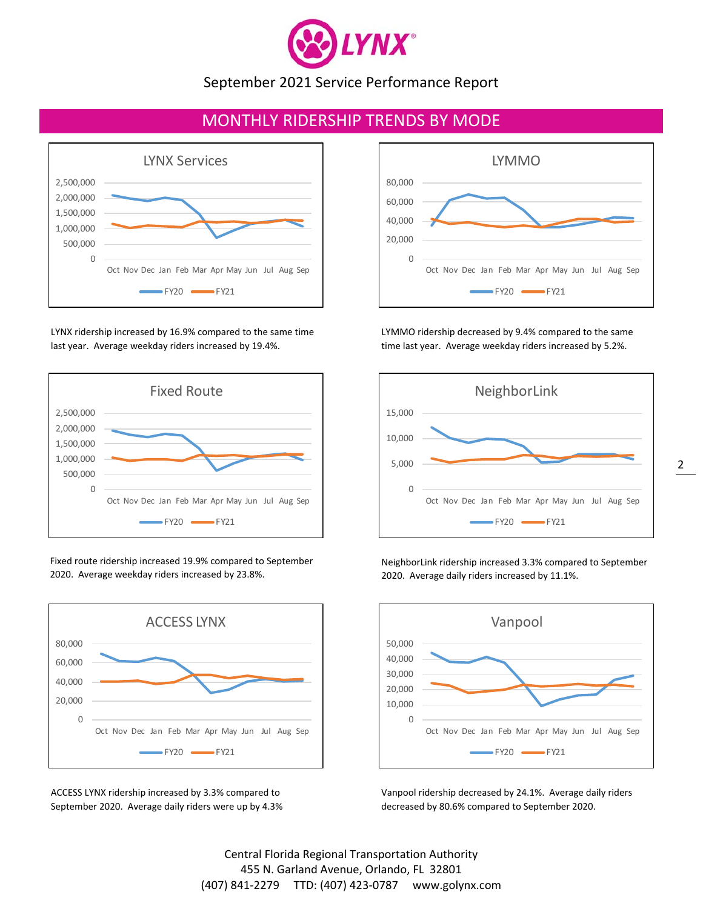

## MONTHLY RIDERSHIP TRENDS BY MODE



LYNX ridership increased by 16.9% compared to the same time last year. Average weekday riders increased by 19.4%.



Fixed route ridership increased 19.9% compared to September 2020. Average weekday riders increased by 23.8%.



ACCESS LYNX ridership increased by 3.3% compared to September 2020. Average daily riders were up by 4.3%



LYMMO ridership decreased by 9.4% compared to the same time last year. Average weekday riders increased by 5.2%.



NeighborLink ridership increased 3.3% compared to September 2020. Average daily riders increased by 11.1%.



Vanpool ridership decreased by 24.1%. Average daily riders decreased by 80.6% compared to September 2020.

Central Florida Regional Transportation Authority 455 N. Garland Avenue, Orlando, FL 32801 (407) 841‐2279 TTD: (407) 423‐0787 www.golynx.com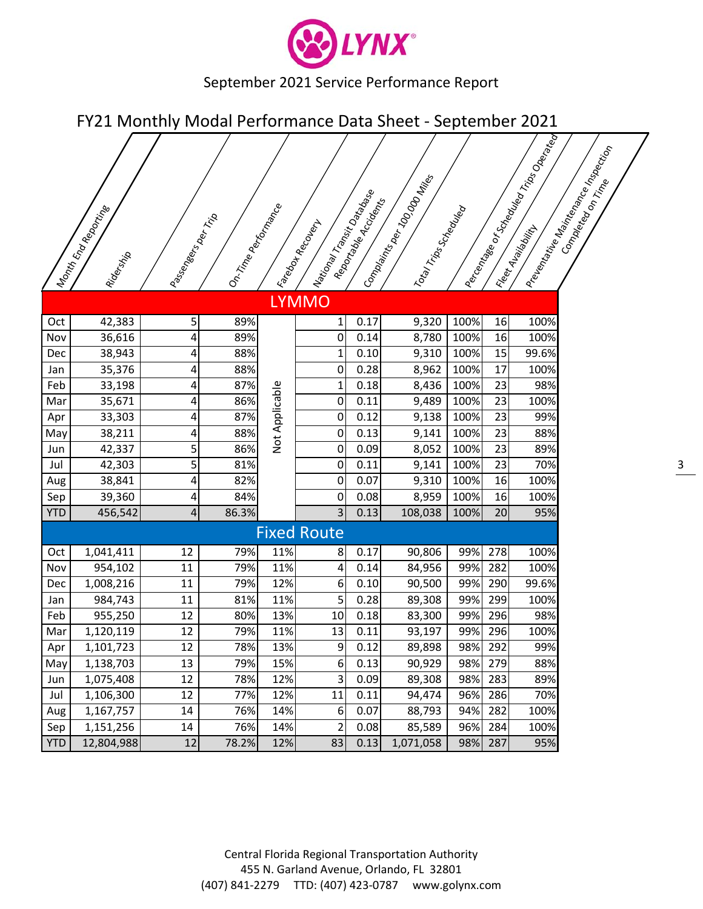

FY21 Monthly Modal Performance Data Sheet - September 2021

|            | I Nonth Engreson<br>Ridership | I Passangers of The Tip | I on Trine performance |                | National Transition of Manus<br>I Facada Recover | Reportable Accidents | Company to any 100.000 Miles<br>I otal Trips Scheduled |      |         | Percentage or Scriegator Manufacture of Trips Operation | Prevantative Maximaan Reader Indexing the |
|------------|-------------------------------|-------------------------|------------------------|----------------|--------------------------------------------------|----------------------|--------------------------------------------------------|------|---------|---------------------------------------------------------|-------------------------------------------|
|            |                               |                         |                        |                | <b>LYMMO</b>                                     |                      |                                                        |      |         |                                                         |                                           |
| Oct        | 42,383                        | 5                       | 89%                    |                | 1                                                | 0.17                 | 9,320                                                  | 100% | 16      | 100%                                                    |                                           |
| Nov        | 36,616                        | 4                       | 89%                    |                | 0                                                | 0.14                 | 8,780                                                  | 100% | 16      | 100%                                                    |                                           |
| Dec        | 38,943                        | 4                       | 88%                    |                | 1                                                | 0.10                 | 9,310                                                  | 100% | 15      | 99.6%                                                   |                                           |
| Jan        | 35,376                        | 4                       | 88%                    |                | 0                                                | 0.28                 | 8,962                                                  | 100% | 17      | 100%                                                    |                                           |
| Feb        | 33,198                        | 4                       | 87%                    |                | $\mathbf{1}$                                     | 0.18                 | 8,436                                                  | 100% | 23      | 98%                                                     |                                           |
| Mar        | 35,671                        | 4                       | 86%                    | Not Applicable | 0                                                | 0.11                 | 9,489                                                  | 100% | 23      | 100%                                                    |                                           |
| Apr        | 33,303                        | 4                       | 87%                    |                | 0                                                | 0.12                 | 9,138                                                  | 100% | 23      | 99%                                                     |                                           |
| May        | 38,211                        | 4                       | 88%                    |                | 0                                                | 0.13                 | 9,141                                                  | 100% | 23      | 88%                                                     |                                           |
| Jun        | 42,337                        | 5                       | 86%                    |                | 0                                                | 0.09                 | 8,052                                                  | 100% | 23      | 89%                                                     |                                           |
| Jul        | 42,303                        | 5                       | 81%                    |                | 0                                                | 0.11                 | 9,141                                                  | 100% | 23      | 70%                                                     |                                           |
| Aug        | 38,841                        | 4                       | 82%                    |                | $\mathbf 0$                                      | 0.07                 | 9,310                                                  | 100% | 16      | 100%                                                    |                                           |
| Sep        | 39,360                        | 4                       | 84%                    |                | 0                                                | 0.08                 | 8,959                                                  | 100% | 16      | 100%                                                    |                                           |
| <b>YTD</b> | 456,542                       | $\overline{4}$          | 86.3%                  |                | 3                                                | 0.13                 | 108,038                                                | 100% | 20      | 95%                                                     |                                           |
|            |                               |                         |                        |                | <b>Fixed Route</b>                               |                      |                                                        |      |         |                                                         |                                           |
| Oct        | 1,041,411                     | 12                      | 79%                    | 11%            | 8                                                | 0.17                 | 90,806                                                 | 99%  | 278     | 100%                                                    |                                           |
| Nov        | 954,102                       | 11                      | 79%                    | 11%            | 4                                                | 0.14                 | 84,956                                                 | 99%  | 282     | 100%                                                    |                                           |
| Dec        | 1,008,216                     | 11                      | 79%                    | 12%            | 6                                                | 0.10                 | 90,500                                                 | 99%  | 290     | 99.6%                                                   |                                           |
| Jan        | 984,743                       | 11                      | 81%                    | 11%            | 5                                                | 0.28                 | 89,308                                                 | 99%  | 299     | 100%                                                    |                                           |
| Feb        | 955,250                       | 12                      | 80%                    | 13%            | 10                                               | 0.18                 | 83,300                                                 | 99%  | 296     | 98%                                                     |                                           |
| Mar        | 1,120,119                     | 12                      | 79%                    | 11%            | 13                                               | 0.11                 | 93,197                                                 | 99%  | 296     | 100%                                                    |                                           |
| Apr        | 1,101,723                     | $\overline{12}$         | 78%                    | 13%            | $\overline{9}$                                   | 0.12                 | 89,898                                                 |      | 98% 292 | 99%                                                     |                                           |
| May        | 1,138,703                     | 13                      | 79%                    | 15%            | 6                                                | 0.13                 | 90,929                                                 | 98%  | 279     | 88%                                                     |                                           |
| Jun        | 1,075,408                     | 12                      | 78%                    | 12%            | 3                                                | 0.09                 | 89,308                                                 | 98%  | 283     | 89%                                                     |                                           |
| Jul        | 1,106,300                     | 12                      | 77%                    | 12%            | 11                                               | 0.11                 | 94,474                                                 | 96%  | 286     | 70%                                                     |                                           |
| Aug        | 1,167,757                     | $14\,$                  | 76%                    | 14%            | $6 \overline{6}$                                 | 0.07                 | 88,793                                                 | 94%  | 282     | 100%                                                    |                                           |
| Sep        | 1,151,256                     | 14                      | 76%                    | 14%            | $\overline{2}$                                   | 0.08                 | 85,589                                                 | 96%  | 284     | 100%                                                    |                                           |
| <b>YTD</b> | 12,804,988                    | 12                      | 78.2%                  | 12%            | 83                                               | 0.13                 | 1,071,058                                              | 98%  | 287     | 95%                                                     |                                           |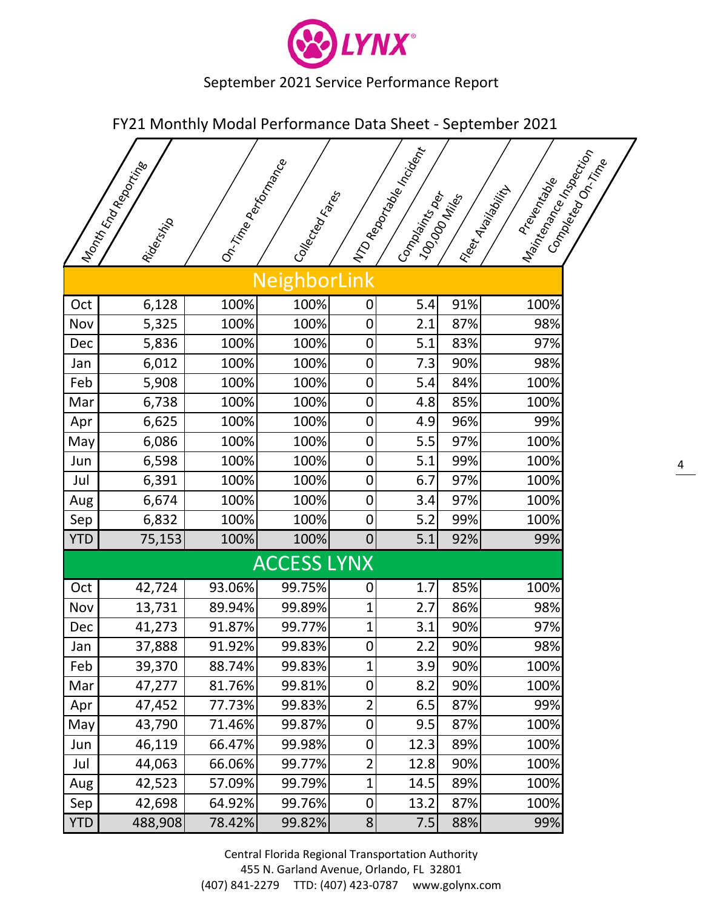

FY21 Monthly Modal Performance Data Sheet ‐ September 2021

|            | Month Endrew Mesorting | 10n. Time performance |                    |                | IND Report of Motor I |                | Maintenance Mapechion<br>Complexed on Time<br>Preventigore |
|------------|------------------------|-----------------------|--------------------|----------------|-----------------------|----------------|------------------------------------------------------------|
|            | Ridership              |                       | I Conceptor Rep.   |                | I Companying Req.     | I 100000 Miles | Elect Avenuellity                                          |
|            |                        |                       | NeighborLink       |                |                       |                |                                                            |
| Oct        | 6,128                  | 100%                  | 100%               | 0              | 5.4                   | 91%            | 100%                                                       |
| Nov        | 5,325                  | 100%                  | 100%               | 0              | 2.1                   | 87%            | 98%                                                        |
| Dec        | 5,836                  | 100%                  | 100%               | 0              | 5.1                   | 83%            | 97%                                                        |
| Jan        | 6,012                  | 100%                  | 100%               | $\pmb{0}$      | 7.3                   | 90%            | 98%                                                        |
| Feb        | 5,908                  | 100%                  | 100%               | 0              | 5.4                   | 84%            | 100%                                                       |
| Mar        | 6,738                  | 100%                  | 100%               | 0              | 4.8                   | 85%            | 100%                                                       |
| Apr        | 6,625                  | 100%                  | 100%               | 0              | 4.9                   | 96%            | 99%                                                        |
| Mayl       | 6,086                  | 100%                  | 100%               | 0              | 5.5                   | 97%            | 100%                                                       |
| Jun        | 6,598                  | 100%                  | 100%               | 0              | 5.1                   | 99%            | 100%                                                       |
| Jul        | 6,391                  | 100%                  | 100%               | 0              | 6.7                   | 97%            | 100%                                                       |
| Aug        | 6,674                  | 100%                  | 100%               | $\pmb{0}$      | 3.4                   | 97%            | 100%                                                       |
| Sep        | 6,832                  | 100%                  | 100%               | 0              | 5.2                   | 99%            | 100%                                                       |
| <b>YTD</b> | 75,153                 | 100%                  | 100%               | $\mathbf 0$    | 5.1                   | 92%            | 99%                                                        |
|            |                        |                       | <b>ACCESS LYNX</b> |                |                       |                |                                                            |
| Oct        | 42,724                 | 93.06%                | 99.75%             | 0              | 1.7                   | 85%            | 100%                                                       |
| Nov        | 13,731                 | 89.94%                | 99.89%             | $\mathbf 1$    | 2.7                   | 86%            | 98%                                                        |
| Dec        | 41,273                 | 91.87%                | 99.77%             | 1              | 3.1                   | 90%            | 97%                                                        |
| Jan        | 37,888                 | 91.92%                | 99.83%             | $\overline{0}$ | 2.2                   | 90%            | 98%                                                        |
| Feb        | 39,370                 | 88.74%                | 99.83%             | $\mathbf 1$    | 3.9                   | 90%            | 100%                                                       |
| Mar        | 47,277                 | 81.76%                | 99.81%             | 0              | 8.2                   | 90%            | 100%                                                       |
| Apr        | 47,452                 | 77.73%                | 99.83%             | $\overline{2}$ | 6.5                   | 87%            | 99%                                                        |
| Mayl       | 43,790                 | 71.46%                | 99.87%             | 0              | 9.5                   | 87%            | 100%                                                       |
| Jun        | 46,119                 | 66.47%                | 99.98%             | 0              | 12.3                  | 89%            | 100%                                                       |
| Jul        | 44,063                 | 66.06%                | 99.77%             | $\overline{2}$ | 12.8                  | 90%            | 100%                                                       |
| Aug        | 42,523                 | 57.09%                | 99.79%             | 1              | 14.5                  | 89%            | 100%                                                       |
| Sep        | 42,698                 | 64.92%                | 99.76%             | $\pmb{0}$      | 13.2                  | 87%            | 100%                                                       |
| <b>YTD</b> | 488,908                | 78.42%                | 99.82%             | $\bf 8$        | 7.5                   | 88%            | 99%                                                        |